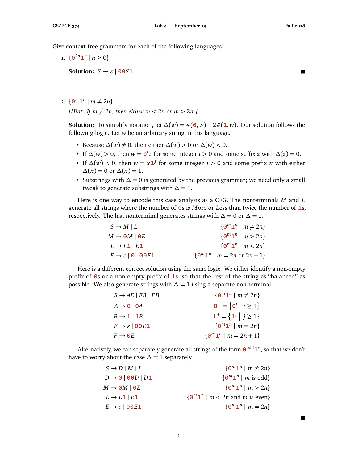Give context-free grammars for each of the following languages.

1.  $\{ \mathbf{0}^{2n} \mathbf{1}^n \mid n \geq 0 \}$ 

**Solution:**  $S \rightarrow \varepsilon$  | **0051** 

п

2.  $\{ \mathbf{0}^m \mathbf{1}^n \mid m \neq 2n \}$ 

*[Hint: If*  $m \neq 2n$ *, then either*  $m < 2n$  *or*  $m > 2n$ *.]* 

**Solution:** To simplify notation, let  $\Delta(w) = \#(0, w) - 2\#(1, w)$ . Our solution follows the following logic. Let *w* be an arbitrary string in this language.

- Because  $\Delta(w) \neq 0$ , then either  $\Delta(w) > 0$  or  $\Delta(w) < 0$ .
- If  $\Delta(w) > 0$ , then  $w = \mathbf{0}^i z$  for some integer  $i > 0$  and some suffix  $z$  with  $\Delta(z) = 0$ .
- If  $\Delta(w) < 0$ , then  $w = x1^j$  for some integer  $j > 0$  and some prefix *x* with either  $\Delta(x) = 0$  or  $\Delta(x) = 1$ .
- Substrings with  $\Delta = 0$  is generated by the previous grammar; we need only a small tweak to generate substrings with  $\Delta = 1$ .

Here is one way to encode this case analysis as a CFG. The nonterminals *M* and *L* generate all strings where the number of **0**s is *M*ore or *L*ess than twice the number of **1**s, respectively. The last nonterminal generates strings with  $\Delta = 0$  or  $\Delta = 1$ .

| $S \to M \mid L$                           | $\{ \mathbf{\Theta}^m \mathbf{1}^n \mid m \neq 2n \}$        |
|--------------------------------------------|--------------------------------------------------------------|
| $M \rightarrow \Theta M \mid \Theta E$     | $\{ \Theta^m \mathbf{1}^n \mid m > 2n \}$                    |
| $L \rightarrow L1$   $E1$                  | $\{ \Theta^m \mathbf{1}^n \mid m < 2n \}$                    |
| $E \rightarrow \varepsilon$   0   00 $E$ 1 | $\{ \Theta^m \mathbf{1}^n \mid m = 2n \text{ or } 2n + 1 \}$ |

Here is a different correct solution using the same logic. We either identify a non-empty prefix of **0**s or a non-empty prefix of **1**s, so that the rest of the string as "balanced" as possible. We also generate strings with  $\Delta = 1$  using a separate non-terminal.

| $S \rightarrow AE \mid EB \mid FB$ | $\{ \mathbf{\Theta}^m \mathbf{1}^n \mid m \neq 2n \}$            |
|------------------------------------|------------------------------------------------------------------|
| $A \rightarrow 0$   0A             | $\mathbf{\Theta}^+ = \{ \mathbf{\Theta}^i \mid i \geq 1 \}$      |
| $B \rightarrow 1 \mid 1B$          | $\mathbf{1}^+ = \left\{ \mathbf{1}^j \middle  j \geq 1 \right\}$ |
| $E \rightarrow \varepsilon$   00E1 | $\{ \Theta^m \mathbf{1}^n \mid m = 2n \}$                        |
| $F \rightarrow \Theta E$           | $\{ \Theta^m \mathbf{1}^n \mid m = 2n + 1 \}$                    |

Alternatively, we can separately generate all strings of the form 0<sup>odd</sup> 1<sup>∗</sup>, so that we don't have to worry about the case  $\Delta = 1$  separately.

| $S \rightarrow D \mid M \mid L$        | $\{$ $\mathbf{0}^m \mathbf{1}^n \mid m \neq 2n\}$                        |
|----------------------------------------|--------------------------------------------------------------------------|
| $D \rightarrow 0$   00 $D$   $D$ 1     | $\{ \Theta^m \mathbf{1}^n \mid m \text{ is odd} \}$                      |
| $M \rightarrow \Theta M \mid \Theta E$ | $\{0^m1^n \mid m > 2n\}$                                                 |
| $L \rightarrow L1   E1$                | $\{ \Theta^m \mathbf{1}^n \mid m < 2n \text{ and } m \text{ is even} \}$ |
| $E \rightarrow \varepsilon$   00 $E$ 1 | $\{ \Theta^m \mathbf{1}^n \mid m = 2n \}$                                |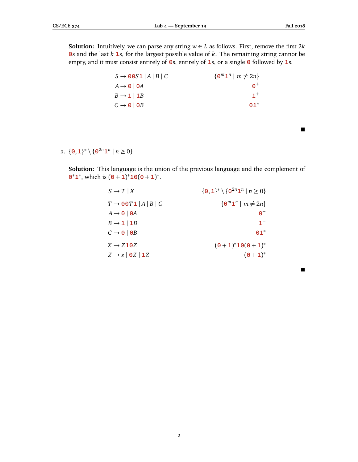**Solution:** Intuitively, we can parse any string  $w \in L$  as follows. First, remove the first  $2k$ **0**s and the last *k* **1**s, for the largest possible value of *k*. The remaining string cannot be empty, and it must consist entirely of **0**s, entirely of **1**s, or a single **0** followed by **1**s.

| $\{ \mathbf{0}^m \mathbf{1}^n \mid m \neq 2n \}$ |
|--------------------------------------------------|
| റ+                                               |
| $1^+$                                            |
| $01^*$                                           |
|                                                  |

## 3.  ${\bf 0, 1}^* \setminus {\bf 0}^{2n} {\bf 1}^n \mid n \ge 0$

**Solution:** This language is the union of the previous language and the complement of **0**<sup>\*</sup>**1**<sup>\*</sup>, which is  $(0 + 1)^* \mathbf{10} (0 + 1)^*$ .

| $S \to T   X$                               | $\{0,1\}^* \setminus \{0^{2n}1^n \mid n \geq 0\}$     |
|---------------------------------------------|-------------------------------------------------------|
| $T \rightarrow 00T1  A B C$                 | $\{ \mathbf{\Theta}^m \mathbf{1}^n \mid m \neq 2n \}$ |
| $A \rightarrow 0$   0A                      | $\boldsymbol{\Theta}^+$                               |
| $B \rightarrow 1 \mid 1B$                   | $1^+$                                                 |
| $C \rightarrow \mathbf{0}$   0B             | $01*$                                                 |
| $X \rightarrow Z10Z$                        | $(0+1)^*10(0+1)^*$                                    |
| $Z \rightarrow \varepsilon$   0 $Z$   1 $Z$ | $(0+1)^{*}$                                           |

 $\blacksquare$ 

 $\blacksquare$